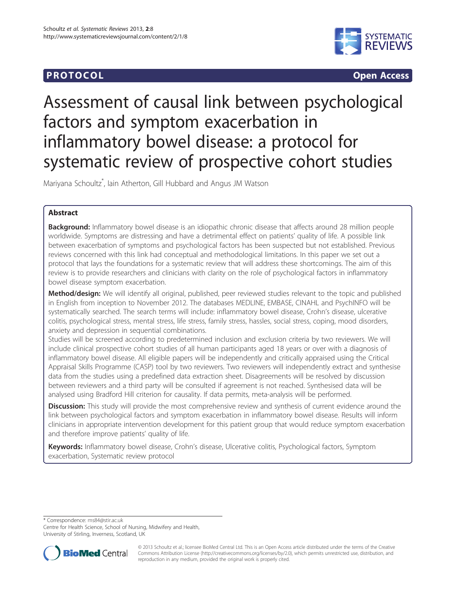## **PROTOCOL CONSUMING ACCESS**



# Assessment of causal link between psychological factors and symptom exacerbation in inflammatory bowel disease: a protocol for systematic review of prospective cohort studies

Mariyana Schoultz\* , Iain Atherton, Gill Hubbard and Angus JM Watson

## Abstract

Background: Inflammatory bowel disease is an idiopathic chronic disease that affects around 28 million people worldwide. Symptoms are distressing and have a detrimental effect on patients' quality of life. A possible link between exacerbation of symptoms and psychological factors has been suspected but not established. Previous reviews concerned with this link had conceptual and methodological limitations. In this paper we set out a protocol that lays the foundations for a systematic review that will address these shortcomings. The aim of this review is to provide researchers and clinicians with clarity on the role of psychological factors in inflammatory bowel disease symptom exacerbation.

Method/design: We will identify all original, published, peer reviewed studies relevant to the topic and published in English from inception to November 2012. The databases MEDLINE, EMBASE, CINAHL and PsychINFO will be systematically searched. The search terms will include: inflammatory bowel disease, Crohn's disease, ulcerative colitis, psychological stress, mental stress, life stress, family stress, hassles, social stress, coping, mood disorders, anxiety and depression in sequential combinations.

Studies will be screened according to predetermined inclusion and exclusion criteria by two reviewers. We will include clinical prospective cohort studies of all human participants aged 18 years or over with a diagnosis of inflammatory bowel disease. All eligible papers will be independently and critically appraised using the Critical Appraisal Skills Programme (CASP) tool by two reviewers. Two reviewers will independently extract and synthesise data from the studies using a predefined data extraction sheet. Disagreements will be resolved by discussion between reviewers and a third party will be consulted if agreement is not reached. Synthesised data will be analysed using Bradford Hill criterion for causality. If data permits, meta-analysis will be performed.

Discussion: This study will provide the most comprehensive review and synthesis of current evidence around the link between psychological factors and symptom exacerbation in inflammatory bowel disease. Results will inform clinicians in appropriate intervention development for this patient group that would reduce symptom exacerbation and therefore improve patients' quality of life.

Keywords: Inflammatory bowel disease, Crohn's disease, Ulcerative colitis, Psychological factors, Symptom exacerbation, Systematic review protocol

\* Correspondence: [ms84@stir.ac.uk](mailto:ms84@stir.ac.uk)

Centre for Health Science, School of Nursing, Midwifery and Health, University of Stirling, Inverness, Scotland, UK



© 2013 Schoultz et al.; licensee BioMed Central Ltd. This is an Open Access article distributed under the terms of the Creative Commons Attribution License [\(http://creativecommons.org/licenses/by/2.0\)](http://creativecommons.org/licenses/by/2.0), which permits unrestricted use, distribution, and reproduction in any medium, provided the original work is properly cited.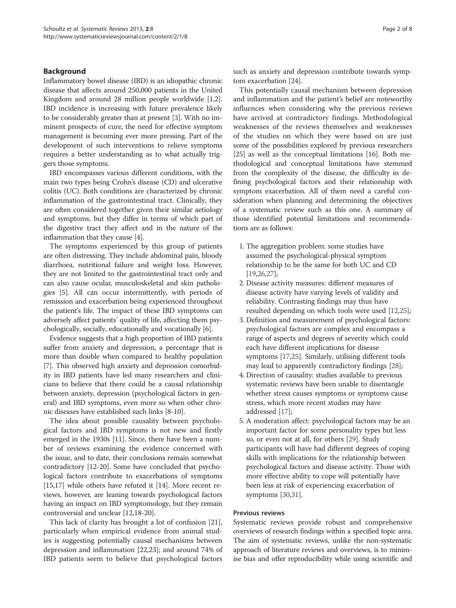#### Background

Inflammatory bowel disease (IBD) is an idiopathic chronic disease that affects around 250,000 patients in the United Kingdom and around 28 million people worldwide [[1](#page-6-0),[2](#page-6-0)]. IBD incidence is increasing with future prevalence likely to be considerably greater than at present [[3\]](#page-6-0). With no imminent prospects of cure, the need for effective symptom management is becoming ever more pressing. Part of the development of such interventions to relieve symptoms requires a better understanding as to what actually triggers those symptoms.

IBD encompasses various different conditions, with the main two types being Crohn's disease (CD) and ulcerative colitis (UC). Both conditions are characterized by chronic inflammation of the gastrointestinal tract. Clinically, they are often considered together given their similar aetiology and symptoms, but they differ in terms of which part of the digestive tract they affect and in the nature of the inflammation that they cause [[4](#page-6-0)].

The symptoms experienced by this group of patients are often distressing. They include abdominal pain, bloody diarrhoea, nutritional failure and weight loss. However, they are not limited to the gastrointestinal tract only and can also cause ocular, musculoskeletal and skin pathologies [[5](#page-6-0)]. All can occur intermittently, with periods of remission and exacerbation being experienced throughout the patient's life. The impact of these IBD symptoms can adversely affect patients' quality of life, affecting them psychologically, socially, educationally and vocationally [\[6](#page-6-0)].

Evidence suggests that a high proportion of IBD patients suffer from anxiety and depression, a percentage that is more than double when compared to healthy population [[7\]](#page-6-0). This observed high anxiety and depression comorbidity in IBD patients have led many researchers and clinicians to believe that there could be a causal relationship between anxiety, depression (psychological factors in general) and IBD symptoms, even more so when other chronic diseases have established such links [[8](#page-6-0)[-10\]](#page-7-0).

The idea about possible causality between psychological factors and IBD symptoms is not new and firstly emerged in the 1930s [[11](#page-7-0)]. Since, there have been a number of reviews examining the evidence concerned with the issue, and to date, their conclusions remain somewhat contradictory [[12](#page-7-0)-[20\]](#page-7-0). Some have concluded that psychological factors contribute to exacerbations of symptoms [[15,17](#page-7-0)] while others have refuted it [[14](#page-7-0)]. More recent reviews, however, are leaning towards psychological factors having an impact on IBD symptomology, but they remain controversial and unclear [[12,18-20](#page-7-0)].

This lack of clarity has brought a lot of confusion [\[21](#page-7-0)], particularly when empirical evidence from animal studies is suggesting potentially causal mechanisms between depression and inflammation [\[22,23](#page-7-0)]; and around 74% of IBD patients seem to believe that psychological factors such as anxiety and depression contribute towards symptom exacerbation [\[24\]](#page-7-0).

This potentially causal mechanism between depression and inflammation and the patient's belief are noteworthy influences when considering why the previous reviews have arrived at contradictory findings. Methodological weaknesses of the reviews themselves and weaknesses of the studies on which they were based on are just some of the possibilities explored by previous researchers [[25](#page-7-0)] as well as the conceptual limitations [\[16\]](#page-7-0). Both methodological and conceptual limitations have stemmed from the complexity of the disease, the difficulty in defining psychological factors and their relationship with symptom exacerbation. All of them need a careful consideration when planning and determining the objectives of a systematic review such as this one. A summary of those identified potential limitations and recommendations are as follows:

- 1. The aggregation problem: some studies have assumed the psychological-physical symptom relationship to be the same for both UC and CD [[19](#page-7-0),[26,27\]](#page-7-0);
- 2. Disease activity measures: different measures of disease activity have varying levels of validity and reliability. Contrasting findings may thus have resulted depending on which tools were used [\[12,25\]](#page-7-0);
- 3. Definition and measurement of psychological factors: psychological factors are complex and encompass a range of aspects and degrees of severity which could each have different implications for disease symptoms [[17,25](#page-7-0)]. Similarly, utilising different tools may lead to apparently contradictory findings [[28](#page-7-0)];
- 4. Direction of causality: studies available to previous systematic reviews have been unable to disentangle whether stress causes symptoms or symptoms cause stress, which more recent studies may have addressed [\[17\]](#page-7-0);
- 5. A moderation affect: psychological factors may be an important factor for some personality types but less so, or even not at all, for others [\[29\]](#page-7-0). Study participants will have had different degrees of coping skills with implications for the relationship between psychological factors and disease activity. Those with more effective ability to cope will potentially have been less at risk of experiencing exacerbation of symptoms [[30,31](#page-7-0)].

#### Previous reviews

Systematic reviews provide robust and comprehensive overviews of research findings within a specified topic area. The aim of systematic reviews, unlike the non-systematic approach of literature reviews and overviews, is to minimise bias and offer reproducibility while using scientific and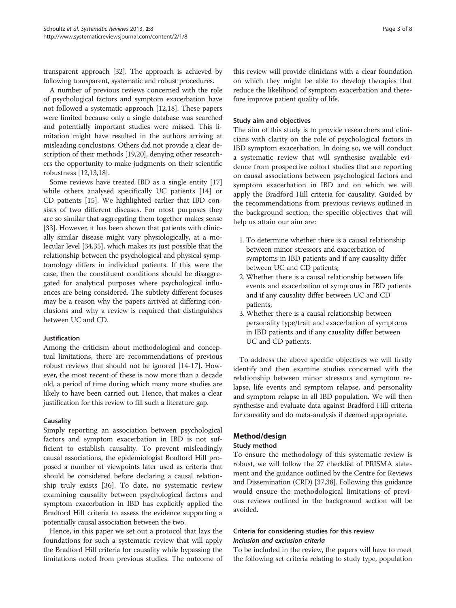transparent approach [[32](#page-7-0)]. The approach is achieved by following transparent, systematic and robust procedures.

A number of previous reviews concerned with the role of psychological factors and symptom exacerbation have not followed a systematic approach [\[12,18](#page-7-0)]. These papers were limited because only a single database was searched and potentially important studies were missed. This limitation might have resulted in the authors arriving at misleading conclusions. Others did not provide a clear description of their methods [[19,20\]](#page-7-0), denying other researchers the opportunity to make judgments on their scientific robustness [\[12,13,18](#page-7-0)].

Some reviews have treated IBD as a single entity [[17](#page-7-0)] while others analysed specifically UC patients [\[14](#page-7-0)] or CD patients [\[15\]](#page-7-0). We highlighted earlier that IBD consists of two different diseases. For most purposes they are so similar that aggregating them together makes sense [[33](#page-7-0)]. However, it has been shown that patients with clinically similar disease might vary physiologically, at a molecular level [\[34,35\]](#page-7-0), which makes its just possible that the relationship between the psychological and physical symptomology differs in individual patients. If this were the case, then the constituent conditions should be disaggregated for analytical purposes where psychological influences are being considered. The subtlety different focuses may be a reason why the papers arrived at differing conclusions and why a review is required that distinguishes between UC and CD.

#### Justification

Among the criticism about methodological and conceptual limitations, there are recommendations of previous robust reviews that should not be ignored [\[14-17\]](#page-7-0). However, the most recent of these is now more than a decade old, a period of time during which many more studies are likely to have been carried out. Hence, that makes a clear justification for this review to fill such a literature gap.

#### Causality

Simply reporting an association between psychological factors and symptom exacerbation in IBD is not sufficient to establish causality. To prevent misleadingly causal associations, the epidemiologist Bradford Hill proposed a number of viewpoints later used as criteria that should be considered before declaring a causal relationship truly exists [[36\]](#page-7-0). To date, no systematic review examining causality between psychological factors and symptom exacerbation in IBD has explicitly applied the Bradford Hill criteria to assess the evidence supporting a potentially causal association between the two.

Hence, in this paper we set out a protocol that lays the foundations for such a systematic review that will apply the Bradford Hill criteria for causality while bypassing the limitations noted from previous studies. The outcome of

this review will provide clinicians with a clear foundation on which they might be able to develop therapies that reduce the likelihood of symptom exacerbation and therefore improve patient quality of life.

#### Study aim and objectives

The aim of this study is to provide researchers and clinicians with clarity on the role of psychological factors in IBD symptom exacerbation. In doing so, we will conduct a systematic review that will synthesise available evidence from prospective cohort studies that are reporting on causal associations between psychological factors and symptom exacerbation in IBD and on which we will apply the Bradford Hill criteria for causality. Guided by the recommendations from previous reviews outlined in the background section, the specific objectives that will help us attain our aim are:

- 1. To determine whether there is a causal relationship between minor stressors and exacerbation of symptoms in IBD patients and if any causality differ between UC and CD patients;
- 2. Whether there is a causal relationship between life events and exacerbation of symptoms in IBD patients and if any causality differ between UC and CD patients;
- 3. Whether there is a causal relationship between personality type/trait and exacerbation of symptoms in IBD patients and if any causality differ between UC and CD patients.

To address the above specific objectives we will firstly identify and then examine studies concerned with the relationship between minor stressors and symptom relapse, life events and symptom relapse, and personality and symptom relapse in all IBD population. We will then synthesise and evaluate data against Bradford Hill criteria for causality and do meta-analysis if deemed appropriate.

## Method/design

#### Study method

To ensure the methodology of this systematic review is robust, we will follow the 27 checklist of PRISMA statement and the guidance outlined by the Centre for Reviews and Dissemination (CRD) [\[37,38](#page-7-0)]. Following this guidance would ensure the methodological limitations of previous reviews outlined in the background section will be avoided.

### Criteria for considering studies for this review Inclusion and exclusion criteria

To be included in the review, the papers will have to meet the following set criteria relating to study type, population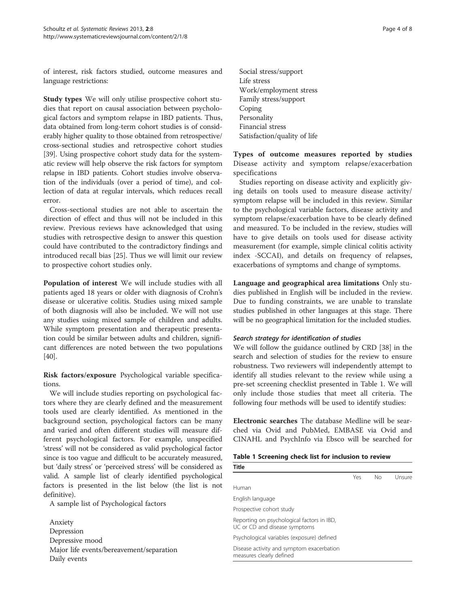<span id="page-3-0"></span>of interest, risk factors studied, outcome measures and language restrictions:

Study types We will only utilise prospective cohort studies that report on causal association between psychological factors and symptom relapse in IBD patients. Thus, data obtained from long-term cohort studies is of considerably higher quality to those obtained from retrospective/ cross-sectional studies and retrospective cohort studies [[39](#page-7-0)]. Using prospective cohort study data for the systematic review will help observe the risk factors for symptom relapse in IBD patients. Cohort studies involve observation of the individuals (over a period of time), and collection of data at regular intervals, which reduces recall error.

Cross-sectional studies are not able to ascertain the direction of effect and thus will not be included in this review. Previous reviews have acknowledged that using studies with retrospective design to answer this question could have contributed to the contradictory findings and introduced recall bias [\[25](#page-7-0)]. Thus we will limit our review to prospective cohort studies only.

Population of interest We will include studies with all patients aged 18 years or older with diagnosis of Crohn's disease or ulcerative colitis. Studies using mixed sample of both diagnosis will also be included. We will not use any studies using mixed sample of children and adults. While symptom presentation and therapeutic presentation could be similar between adults and children, significant differences are noted between the two populations [[40](#page-7-0)].

Risk factors/exposure Psychological variable specifications.

We will include studies reporting on psychological factors where they are clearly defined and the measurement tools used are clearly identified. As mentioned in the background section, psychological factors can be many and varied and often different studies will measure different psychological factors. For example, unspecified 'stress' will not be considered as valid psychological factor since is too vague and difficult to be accurately measured, but 'daily stress' or 'perceived stress' will be considered as valid. A sample list of clearly identified psychological factors is presented in the list below (the list is not definitive).

A sample list of Psychological factors

Anxiety Depression Depressive mood Major life events/bereavement/separation Daily events

Social stress/support Life stress Work/employment stress Family stress/support Coping Personality Financial stress Satisfaction/quality of life

Types of outcome measures reported by studies Disease activity and symptom relapse/exacerbation specifications

Studies reporting on disease activity and explicitly giving details on tools used to measure disease activity/ symptom relapse will be included in this review. Similar to the psychological variable factors, disease activity and symptom relapse/exacerbation have to be clearly defined and measured. To be included in the review, studies will have to give details on tools used for disease activity measurement (for example, simple clinical colitis activity index -SCCAI), and details on frequency of relapses, exacerbations of symptoms and change of symptoms.

Language and geographical area limitations Only studies published in English will be included in the review. Due to funding constraints, we are unable to translate studies published in other languages at this stage. There will be no geographical limitation for the included studies.

#### Search strategy for identification of studies

We will follow the guidance outlined by CRD [[38](#page-7-0)] in the search and selection of studies for the review to ensure robustness. Two reviewers will independently attempt to identify all studies relevant to the review while using a pre-set screening checklist presented in Table 1. We will only include those studies that meet all criteria. The following four methods will be used to identify studies:

Electronic searches The database Medline will be searched via Ovid and PubMed, EMBASE via Ovid and CINAHL and PsychInfo via Ebsco will be searched for

|  | Table 1 Screening check list for inclusion to review |  |  |  |  |  |
|--|------------------------------------------------------|--|--|--|--|--|
|--|------------------------------------------------------|--|--|--|--|--|

| Yes | No | Unsure |
|-----|----|--------|
|     |    |        |
|     |    |        |
|     |    |        |
|     |    |        |
|     |    |        |
|     |    |        |
|     |    |        |
|     |    |        |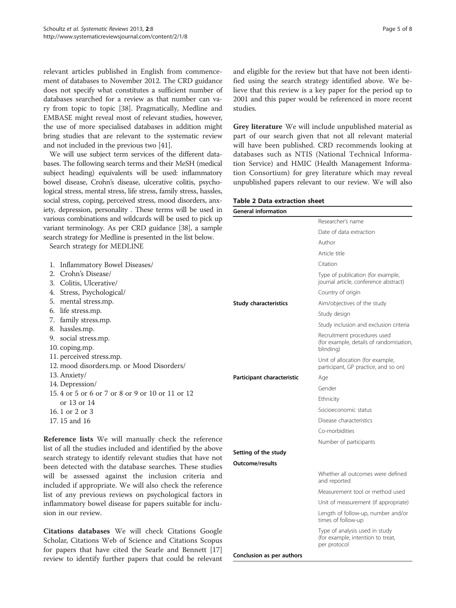<span id="page-4-0"></span>relevant articles published in English from commencement of databases to November 2012. The CRD guidance does not specify what constitutes a sufficient number of databases searched for a review as that number can vary from topic to topic [\[38\]](#page-7-0). Pragmatically, Medline and EMBASE might reveal most of relevant studies, however, the use of more specialised databases in addition might bring studies that are relevant to the systematic review and not included in the previous two [\[41\]](#page-7-0).

We will use subject term services of the different databases. The following search terms and their MeSH (medical subject heading) equivalents will be used: inflammatory bowel disease, Crohn's disease, ulcerative colitis, psychological stress, mental stress, life stress, family stress, hassles, social stress, coping, perceived stress, mood disorders, anxiety, depression, personality . These terms will be used in various combinations and wildcards will be used to pick up variant terminology. As per CRD guidance [\[38\]](#page-7-0), a sample search strategy for Medline is presented in the list below.

Search strategy for MEDLINE

| 1. Inflammatory Bowel Diseases/                     |         |
|-----------------------------------------------------|---------|
| 2. Crohn's Disease/                                 |         |
| 3. Colitis, Ulcerative/                             |         |
| 4. Stress, Psychological/                           |         |
| 5. mental stress.mp.                                | Study   |
| 6. life stress.mp.                                  |         |
| 7. family stress.mp.                                |         |
| 8. hassles.mp.                                      |         |
| 9. social stress.mp.                                |         |
| 10. coping.mp.                                      |         |
| 11. perceived stress.mp.                            |         |
| 12. mood disorders.mp. or Mood Disorders/           |         |
| 13. Anxiety/                                        | Partici |
| 14. Depression/                                     |         |
| 15.4 or 5 or 6 or 7 or 8 or 9 or 10 or 11 or 12     |         |
| or 13 or 14                                         |         |
| 16.1 or 2 or 3                                      |         |
| 17.15 and 16                                        |         |
|                                                     |         |
| eference lists We will manually check the reference |         |

Reference lists We will manually check the reference list of all the studies included and identified by the above search strategy to identify relevant studies that have not been detected with the database searches. These studies will be assessed against the inclusion criteria and included if appropriate. We will also check the reference list of any previous reviews on psychological factors in inflammatory bowel disease for papers suitable for inclusion in our review.

Citations databases We will check Citations Google Scholar, Citations Web of Science and Citations Scopus for papers that have cited the Searle and Bennett [[17](#page-7-0)] review to identify further papers that could be relevant

and eligible for the review but that have not been identified using the search strategy identified above. We believe that this review is a key paper for the period up to 2001 and this paper would be referenced in more recent studies.

Grey literature We will include unpublished material as part of our search given that not all relevant material will have been published. CRD recommends looking at databases such as NTIS (National Technical Information Service) and HMIC (Health Management Information Consortium) for grey literature which may reveal unpublished papers relevant to our review. We will also

|  |  | <b>Table 2 Data extraction sheet</b> |  |
|--|--|--------------------------------------|--|
|--|--|--------------------------------------|--|

| <b>General information</b>   |                                                                                     |  |  |
|------------------------------|-------------------------------------------------------------------------------------|--|--|
|                              | Researcher's name                                                                   |  |  |
|                              | Date of data extraction                                                             |  |  |
|                              | Author                                                                              |  |  |
|                              | Article title                                                                       |  |  |
|                              | Citation                                                                            |  |  |
|                              | Type of publication (for example,<br>journal article, conference abstract)          |  |  |
|                              | Country of origin                                                                   |  |  |
| <b>Study characteristics</b> | Aim/objectives of the study                                                         |  |  |
|                              | Study design                                                                        |  |  |
|                              | Study inclusion and exclusion criteria                                              |  |  |
|                              | Recruitment procedures used<br>(for example, details of randomisation,<br>blinding) |  |  |
|                              | Unit of allocation (for example,<br>participant, GP practice, and so on)            |  |  |
| Participant characteristic   | Age                                                                                 |  |  |
|                              | Gender                                                                              |  |  |
|                              | Ethnicity                                                                           |  |  |
|                              | Socioeconomic status                                                                |  |  |
|                              | Disease characteristics                                                             |  |  |
|                              | Co-morbidities                                                                      |  |  |
|                              | Number of participants                                                              |  |  |
| Setting of the study         |                                                                                     |  |  |
| Outcome/results              |                                                                                     |  |  |
|                              | Whether all outcomes were defined<br>and reported                                   |  |  |
|                              | Measurement tool or method used                                                     |  |  |
|                              | Unit of measurement (if appropriate)                                                |  |  |
|                              | Length of follow-up, number and/or<br>times of follow-up                            |  |  |
|                              | Type of analysis used in study<br>(for example, intention to treat,<br>per protocol |  |  |
| Conclusion as per authors    |                                                                                     |  |  |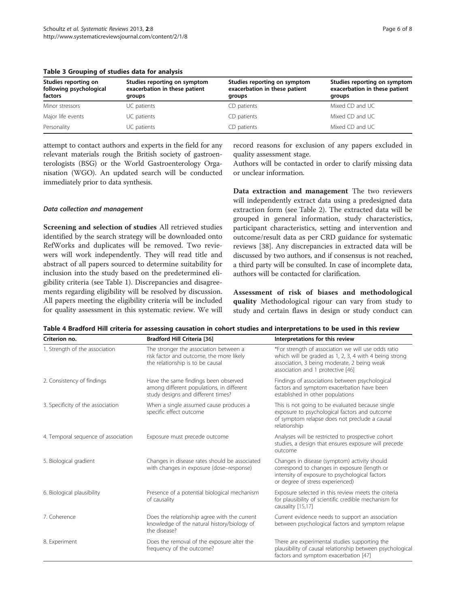| Studies reporting on<br>following psychological<br>factors | Studies reporting on symptom<br>exacerbation in these patient<br>groups | Studies reporting on symptom<br>exacerbation in these patient<br>groups | Studies reporting on symptom<br>exacerbation in these patient<br>groups |
|------------------------------------------------------------|-------------------------------------------------------------------------|-------------------------------------------------------------------------|-------------------------------------------------------------------------|
| Minor stressors                                            | UC patients                                                             | CD patients                                                             | Mixed CD and UC                                                         |
| Major life events                                          | UC patients                                                             | CD patients                                                             | Mixed CD and UC                                                         |
| Personality                                                | UC patients                                                             | CD patients                                                             | Mixed CD and UC                                                         |

<span id="page-5-0"></span>Table 3 Grouping of studies data for analysis

attempt to contact authors and experts in the field for any relevant materials rough the British society of gastroenterologists (BSG) or the World Gastroenterology Organisation (WGO). An updated search will be conducted immediately prior to data synthesis.

#### Data collection and management

Screening and selection of studies All retrieved studies identified by the search strategy will be downloaded onto RefWorks and duplicates will be removed. Two reviewers will work independently. They will read title and abstract of all papers sourced to determine suitability for inclusion into the study based on the predetermined eligibility criteria (see Table [1\)](#page-3-0). Discrepancies and disagreements regarding eligibility will be resolved by discussion. All papers meeting the eligibility criteria will be included for quality assessment in this systematic review. We will

record reasons for exclusion of any papers excluded in quality assessment stage.

Authors will be contacted in order to clarify missing data or unclear information.

Data extraction and management The two reviewers will independently extract data using a predesigned data extraction form (see Table [2](#page-4-0)). The extracted data will be grouped in general information, study characteristics, participant characteristics, setting and intervention and outcome/result data as per CRD guidance for systematic reviews [[38](#page-7-0)]. Any discrepancies in extracted data will be discussed by two authors, and if consensus is not reached, a third party will be consulted. In case of incomplete data, authors will be contacted for clarification.

Assessment of risk of biases and methodological quality Methodological rigour can vary from study to study and certain flaws in design or study conduct can

| Criterion no.                       | Bradford Hill Criteria [36]                                                                                             | Interpretations for this review                                                                                                                                                                   |  |  |
|-------------------------------------|-------------------------------------------------------------------------------------------------------------------------|---------------------------------------------------------------------------------------------------------------------------------------------------------------------------------------------------|--|--|
| 1. Strength of the association      | The stronger the association between a<br>risk factor and outcome, the more likely<br>the relationship is to be causal  | *For strength of association we will use odds ratio<br>which will be graded as 1, 2, 3, 4 with 4 being strong<br>association, 3 being moderate, 2 being weak<br>association and 1 protective [46] |  |  |
| 2. Consistency of findings          | Have the same findings been observed<br>among different populations, in different<br>study designs and different times? | Findings of associations between psychological<br>factors and symptom exacerbation have been<br>established in other populations                                                                  |  |  |
| 3. Specificity of the association   | When a single assumed cause produces a<br>specific effect outcome                                                       | This is not going to be evaluated because single<br>exposure to psychological factors and outcome<br>of symptom relapse does not preclude a causal<br>relationship                                |  |  |
| 4. Temporal sequence of association | Exposure must precede outcome                                                                                           | Analyses will be restricted to prospective cohort<br>studies, a design that ensures exposure will precede<br>outcome                                                                              |  |  |
| 5. Biological gradient              | Changes in disease rates should be associated<br>with changes in exposure (dose-response)                               | Changes in disease (symptom) activity should<br>correspond to changes in exposure (length or<br>intensity of exposure to psychological factors<br>or degree of stress experienced)                |  |  |
| 6. Biological plausibility          | Presence of a potential biological mechanism<br>of causality                                                            | Exposure selected in this review meets the criteria<br>for plausibility of scientific credible mechanism for<br>causality [15,17]                                                                 |  |  |
| 7. Coherence                        | Does the relationship agree with the current<br>knowledge of the natural history/biology of<br>the disease?             | Current evidence needs to support an association<br>between psychological factors and symptom relapse                                                                                             |  |  |
| 8. Experiment                       | Does the removal of the exposure alter the<br>frequency of the outcome?                                                 | There are experimental studies supporting the<br>plausibility of causal relationship between psychological<br>factors and symptom exacerbation [47]                                               |  |  |

Table 4 Bradford Hill criteria for assessing causation in cohort studies and interpretations to be used in this review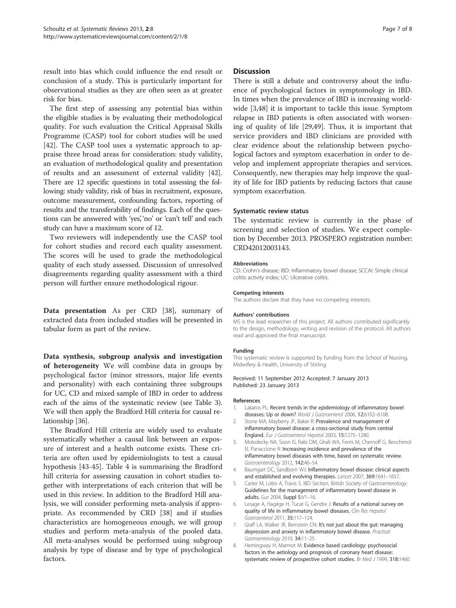<span id="page-6-0"></span>result into bias which could influence the end result or conclusion of a study. This is particularly important for observational studies as they are often seen as at greater risk for bias.

The first step of assessing any potential bias within the eligible studies is by evaluating their methodological quality. For such evaluation the Critical Appraisal Skills Programme (CASP) tool for cohort studies will be used [[42\]](#page-7-0). The CASP tool uses a systematic approach to appraise three broad areas for consideration: study validity, an evaluation of methodological quality and presentation of results and an assessment of external validity [\[42](#page-7-0)]. There are 12 specific questions in total assessing the following: study validity, risk of bias in recruitment, exposure, outcome measurement, confounding factors, reporting of results and the transferability of findings. Each of the questions can be answered with 'yes' 'no' or 'can't tell' and each study can have a maximum score of 12.

Two reviewers will independently use the CASP tool for cohort studies and record each quality assessment. The scores will be used to grade the methodological quality of each study assessed. Discussion of unresolved disagreements regarding quality assessment with a third person will further ensure methodological rigour.

Data presentation As per CRD [\[38\]](#page-7-0), summary of extracted data from included studies will be presented in tabular form as part of the review.

Data synthesis, subgroup analysis and investigation of heterogeneity We will combine data in groups by psychological factor (minor stressors, major life events and personality) with each containing three subgroups for UC, CD and mixed sample of IBD in order to address each of the aims of the systematic review (see Table [3](#page-5-0)). We will then apply the Bradford Hill criteria for causal relationship [[36](#page-7-0)].

The Bradford Hill criteria are widely used to evaluate systematically whether a causal link between an exposure of interest and a health outcome exists. These criteria are often used by epidemiologists to test a causal hypothesis [\[43](#page-7-0)-[45\]](#page-7-0). Table [4](#page-5-0) is summarising the Bradford hill criteria for assessing causation in cohort studies together with interpretations of each criterion that will be used in this review. In addition to the Bradford Hill analysis, we will consider performing meta-analysis if appropriate. As recommended by CRD [\[38](#page-7-0)] and if studies characteristics are homogeneous enough, we will group studies and perform meta-analysis of the pooled data. All meta-analyses would be performed using subgroup analysis by type of disease and by type of psychological factors.

#### **Discussion**

There is still a debate and controversy about the influence of psychological factors in symptomology in IBD. In times when the prevalence of IBD is increasing worldwide [3[,48](#page-7-0)] it is important to tackle this issue. Symptom relapse in IBD patients is often associated with worsening of quality of life [[29,49\]](#page-7-0). Thus, it is important that service providers and IBD clinicians are provided with clear evidence about the relationship between psychological factors and symptom exacerbation in order to develop and implement appropriate therapies and services. Consequently, new therapies may help improve the quality of life for IBD patients by reducing factors that cause symptom exacerbation.

#### Systematic review status

The systematic review is currently in the phase of screening and selection of studies. We expect completion by December 2013. PROSPERO registration number: CRD42012003143.

#### Abbreviations

CD: Crohn's disease; IBD: Inflammatory bowel disease; SCCAI: Simple clinical colitis activity index; UC: Ulcerative colitis.

#### Competing interests

The authors declare that they have no competing interests.

#### Authors' contributions

MS is the lead researcher of this project. All authors contributed significantly to the design, methodology, writing and revision of the protocol. All authors read and approved the final manuscript.

#### Funding

This systematic review is supported by funding from the School of Nursing, Midwifery & Health, University of Stirling.

Received: 11 September 2012 Accepted: 7 January 2013 Published: 23 January 2013

#### References

- 1. Lakatos PL: Recent trends in the epidemiology of inflammatory bowel diseases: Up or down? World J Gastroenterol 2006, 12:6102–6108.
- 2. Stone MA, Mayberry JF, Baker R: Prevalence and management of inflammatory bowel disease: a cross-sectional study from central England. Eur J Gastroenterol Hepatol 2003, 15:1275–1280.
- 3. Molodecky NA, Soon IS, Rabi DM, Ghali WA, Ferris M, Chernoff G, Benchimol EI, Panaccione R: Increasing incidence and prevalence of the inflammatory bowel diseases with time, based on systematic review. Gastroenterology 2012, 142:46–54.
- 4. Baumgart DC, Sandborn WJ: Inflammatory bowel disease: clinical aspects and established and evolving therapies. Lancet 2007, 369:1641–1657.
- 5. Carter M, Lobo A, Travis S, IBD Section, British Society of Gastroenterology: Guidelines for the management of inflammatory bowel disease in adults. Gut 2004, Suppl 5:V1–16.
- Lesage A, Hagège H, Tucat G, Gendre J: Results of a national survey on quality of life in inflammatory bowel diseases. Clin Res Hepatol Gastroenterol 2011, 35:117–124.
- 7. Graff LA, Walker JR, Bernstein CN: It's not just about the gut: managing depression and anxiety in inflammatory bowel disease. Practical Gastroenterology 2010, 34:11–25.
- 8. Hemingway H, Marmot M: Evidence based cardiology: psychosocial factors in the aetiology and prognosis of coronary heart disease: systematic review of prospective cohort studies. Br Med J 1999, 318:1460.